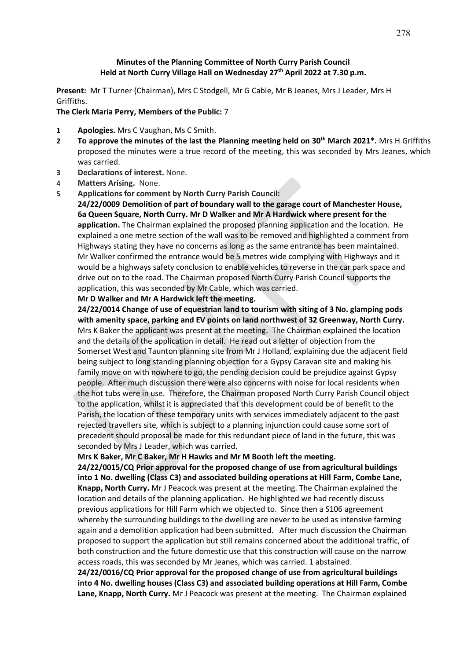## **Minutes of the Planning Committee of North Curry Parish Council Held at North Curry Village Hall on Wednesday 27th April 2022 at 7.30 p.m.**

**Present:** Mr T Turner (Chairman), Mrs C Stodgell, Mr G Cable, Mr B Jeanes, Mrs J Leader, Mrs H Griffiths.

### **The Clerk Maria Perry, Members of the Public:** 7

- **1 Apologies.** Mrs C Vaughan, Ms C Smith.
- **2 To approve the minutes of the last the Planning meeting held on 30th March 2021\*.** Mrs H Griffiths proposed the minutes were a true record of the meeting, this was seconded by Mrs Jeanes, which was carried.
- **3 Declarations of interest.** None.
- 4 **Matters Arising.** None.
- **5 Applications for comment by North Curry Parish Council:**

**24/22/0009 Demolition of part of boundary wall to the garage court of Manchester House, 6a Queen Square, North Curry. Mr D Walker and Mr A Hardwick where present for the application.** The Chairman explained the proposed planning application and the location. He explained a one metre section of the wall was to be removed and highlighted a comment from Highways stating they have no concerns as long as the same entrance has been maintained. Mr Walker confirmed the entrance would be 5 metres wide complying with Highways and it would be a highways safety conclusion to enable vehicles to reverse in the car park space and drive out on to the road. The Chairman proposed North Curry Parish Council supports the application, this was seconded by Mr Cable, which was carried.

#### **Mr D Walker and Mr A Hardwick left the meeting.**

**24/22/0014 Change of use of equestrian land to tourism with siting of 3 No. glamping pods with amenity space, parking and EV points on land northwest of 32 Greenway, North Curry.** Mrs K Baker the applicant was present at the meeting. The Chairman explained the location and the details of the application in detail. He read out a letter of objection from the Somerset West and Taunton planning site from Mr J Holland, explaining due the adjacent field being subject to long standing planning objection for a Gypsy Caravan site and making his family move on with nowhere to go, the pending decision could be prejudice against Gypsy people. After much discussion there were also concerns with noise for local residents when the hot tubs were in use. Therefore, the Chairman proposed North Curry Parish Council object to the application, whilst it is appreciated that this development could be of benefit to the Parish, the location of these temporary units with services immediately adjacent to the past rejected travellers site, which is subject to a planning injunction could cause some sort of precedent should proposal be made for this redundant piece of land in the future, this was seconded by Mrs J Leader, which was carried.

**Mrs K Baker, Mr C Baker, Mr H Hawks and Mr M Booth left the meeting.**

**24/22/0015/CQ Prior approval for the proposed change of use from agricultural buildings into 1 No. dwelling (Class C3) and associated building operations at Hill Farm, Combe Lane, Knapp, North Curry.** Mr J Peacock was present at the meeting. The Chairman explained the location and details of the planning application. He highlighted we had recently discuss previous applications for Hill Farm which we objected to. Since then a S106 agreement whereby the surrounding buildings to the dwelling are never to be used as intensive farming again and a demolition application had been submitted. After much discussion the Chairman proposed to support the application but still remains concerned about the additional traffic, of both construction and the future domestic use that this construction will cause on the narrow access roads, this was seconded by Mr Jeanes, which was carried. 1 abstained.

**24/22/0016/CQ Prior approval for the proposed change of use from agricultural buildings into 4 No. dwelling houses (Class C3) and associated building operations at Hill Farm, Combe Lane, Knapp, North Curry.** Mr J Peacock was present at the meeting. The Chairman explained